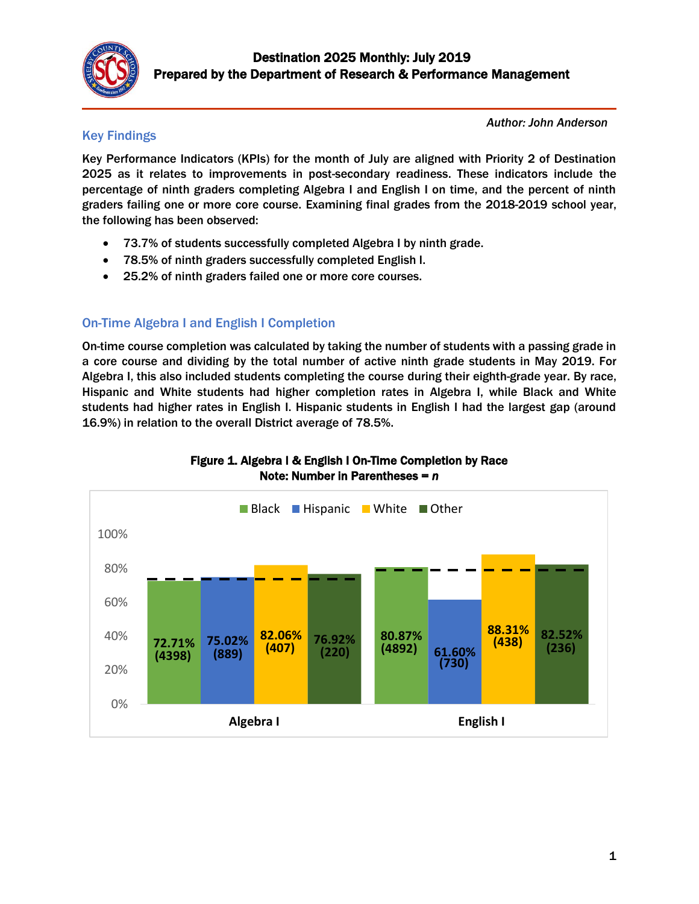

# Key Findings

*Author: John Anderson* 

Key Performance Indicators (KPIs) for the month of July are aligned with Priority 2 of Destination 2025 as it relates to improvements in post-secondary readiness. These indicators include the percentage of ninth graders completing Algebra I and English I on time, and the percent of ninth graders failing one or more core course. Examining final grades from the 2018-2019 school year, the following has been observed:

- 73.7% of students successfully completed Algebra I by ninth grade.
- 78.5% of ninth graders successfully completed English I.
- 25.2% of ninth graders failed one or more core courses.

# On-Time Algebra I and English I Completion

On-time course completion was calculated by taking the number of students with a passing grade in a core course and dividing by the total number of active ninth grade students in May 2019. For Algebra I, this also included students completing the course during their eighth-grade year. By race, Hispanic and White students had higher completion rates in Algebra I, while Black and White students had higher rates in English I. Hispanic students in English I had the largest gap (around 16.9%) in relation to the overall District average of 78.5%.



### Figure 1. Algebra I & English I On-Time Completion by Race Note: Number in Parentheses = *n*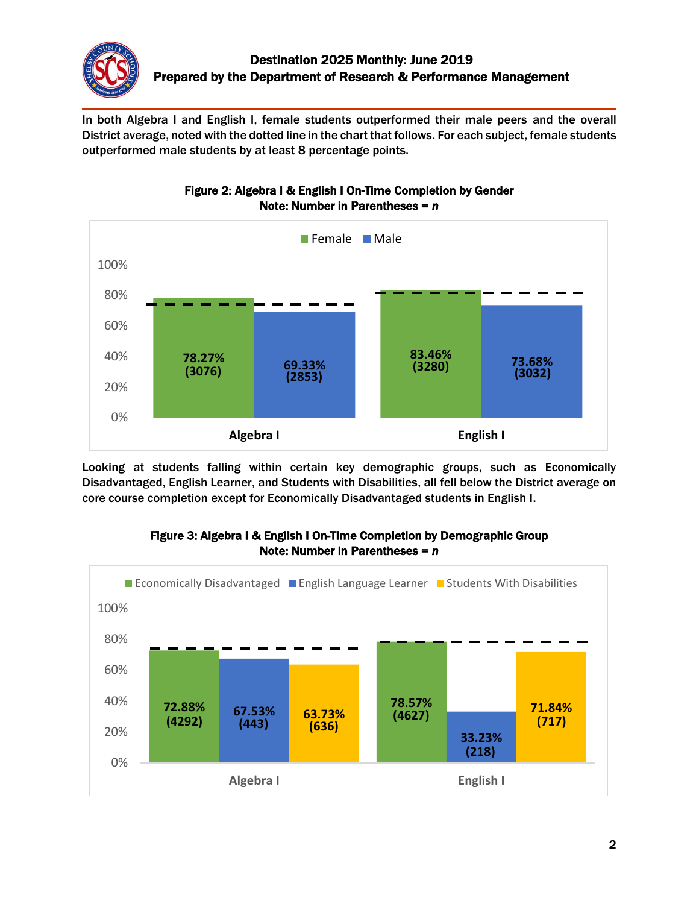

In both Algebra I and English I, female students outperformed their male peers and the overall District average, noted with the dotted line in the chart that follows. For each subject, female students outperformed male students by at least 8 percentage points.



Figure 2: Algebra I & English I On-Time Completion by Gender Note: Number in Parentheses = *n*

Looking at students falling within certain key demographic groups, such as Economically Disadvantaged, English Learner, and Students with Disabilities, all fell below the District average on core course completion except for Economically Disadvantaged students in English I.



### Figure 3: Algebra I & English I On-Time Completion by Demographic Group Note: Number in Parentheses = *n*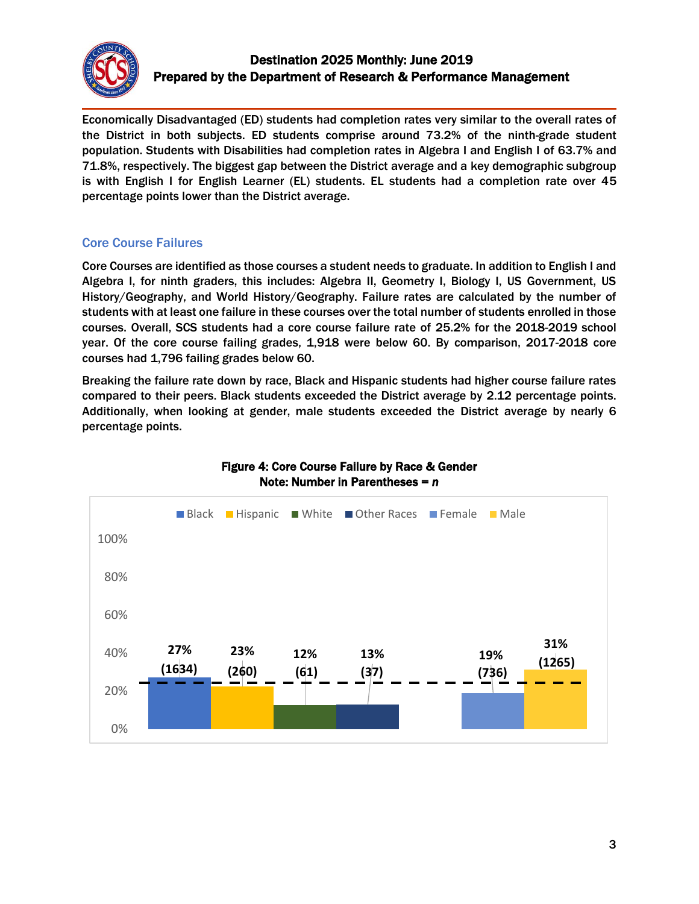

### Destination 2025 Monthly: June 2019 Prepared by the Department of Research & Performance Management

Economically Disadvantaged (ED) students had completion rates very similar to the overall rates of the District in both subjects. ED students comprise around 73.2% of the ninth-grade student population. Students with Disabilities had completion rates in Algebra I and English I of 63.7% and 71.8%, respectively. The biggest gap between the District average and a key demographic subgroup is with English I for English Learner (EL) students. EL students had a completion rate over 45 percentage points lower than the District average.

### Core Course Failures

Core Courses are identified as those courses a student needs to graduate. In addition to English I and Algebra I, for ninth graders, this includes: Algebra II, Geometry I, Biology I, US Government, US History/Geography, and World History/Geography. Failure rates are calculated by the number of students with at least one failure in these courses over the total number of students enrolled in those courses. Overall, SCS students had a core course failure rate of 25.2% for the 2018-2019 school year. Of the core course failing grades, 1,918 were below 60. By comparison, 2017-2018 core courses had 1,796 failing grades below 60.

Breaking the failure rate down by race, Black and Hispanic students had higher course failure rates compared to their peers. Black students exceeded the District average by 2.12 percentage points. Additionally, when looking at gender, male students exceeded the District average by nearly 6 percentage points.



### Figure 4: Core Course Failure by Race & Gender Note: Number in Parentheses = *n*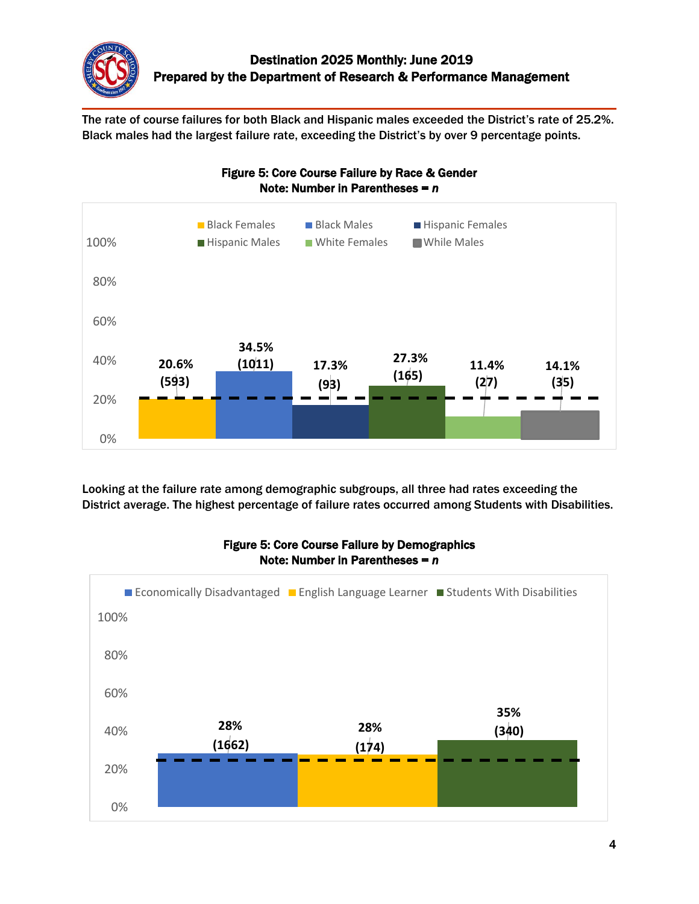

The rate of course failures for both Black and Hispanic males exceeded the District's rate of 25.2%. Black males had the largest failure rate, exceeding the District's by over 9 percentage points.



Looking at the failure rate among demographic subgroups, all three had rates exceeding the District average. The highest percentage of failure rates occurred among Students with Disabilities.



### Figure 5: Core Course Failure by Demographics Note: Number in Parentheses = *n*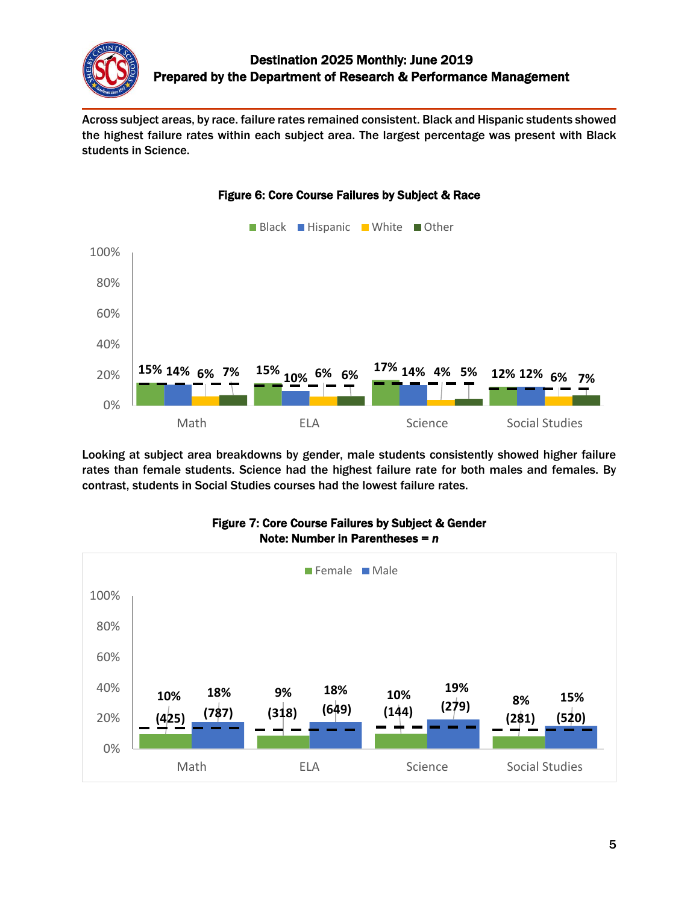

Across subject areas, by race. failure rates remained consistent. Black and Hispanic students showed the highest failure rates within each subject area. The largest percentage was present with Black students in Science.



#### Figure 6: Core Course Failures by Subject & Race

Looking at subject area breakdowns by gender, male students consistently showed higher failure rates than female students. Science had the highest failure rate for both males and females. By contrast, students in Social Studies courses had the lowest failure rates.



#### Figure 7: Core Course Failures by Subject & Gender Note: Number in Parentheses = *n*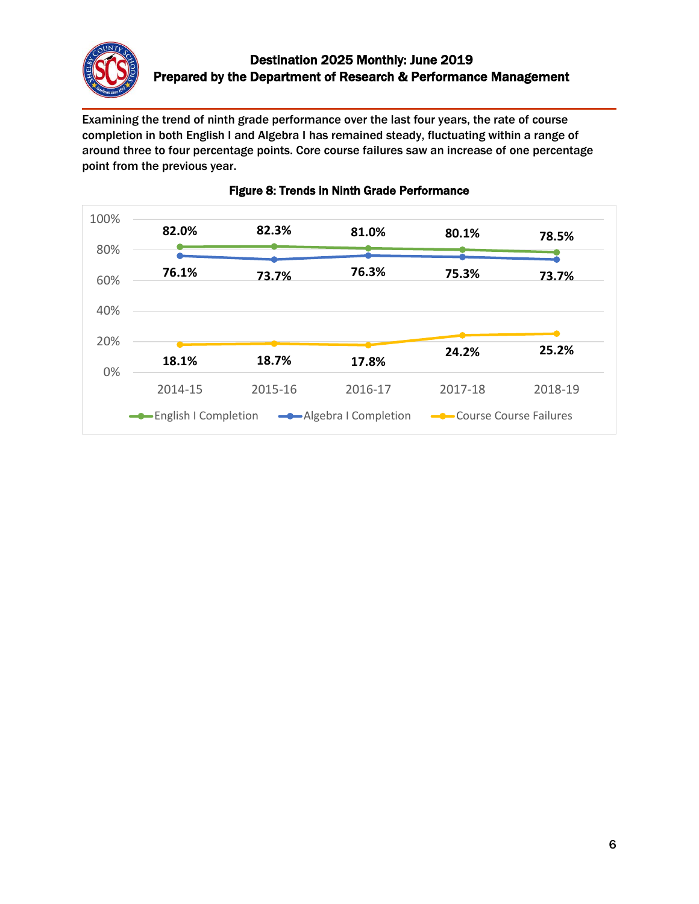

Examining the trend of ninth grade performance over the last four years, the rate of course completion in both English I and Algebra I has remained steady, fluctuating within a range of around three to four percentage points. Core course failures saw an increase of one percentage point from the previous year.



### Figure 8: Trends in Ninth Grade Performance